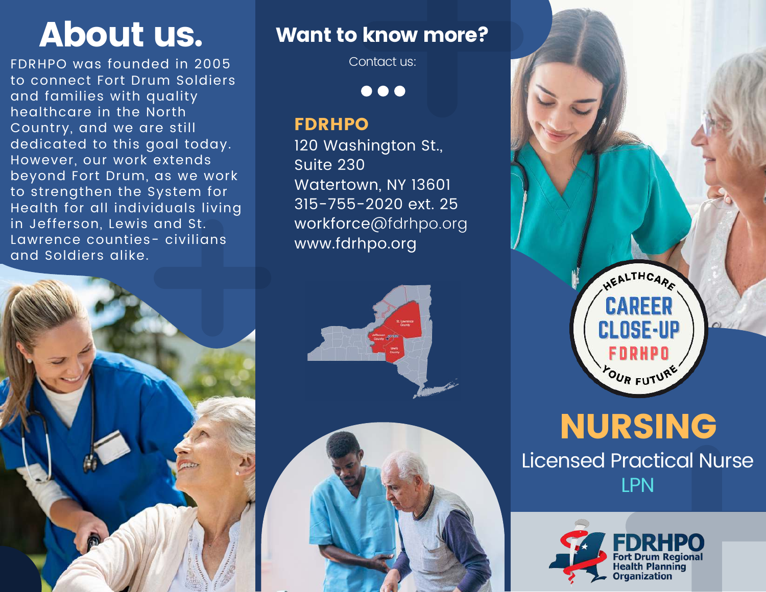FDRHPO was founded in 2005 to connect Fort Drum Soldiers and families with quality healthcare in the North Country, and we are still dedicated to this goal today. However, our work extends beyond Fort Drum, as we work to strengthen the System for Health for all individuals living in Jefferson, Lewis and St. Lawrence counties- civilians and Soldiers alike.

# About us. Want to know more?

Contact us:

 $\bullet\bullet\bullet$ 

#### FDRHPO

120 Washington St., Suite 230 Watertown, NY 13601 315-755-2020 ext. 25 workforce@fdrhpo.org www.fdrhpo.org







# NURSING

Licensed Practical Nurse LPN